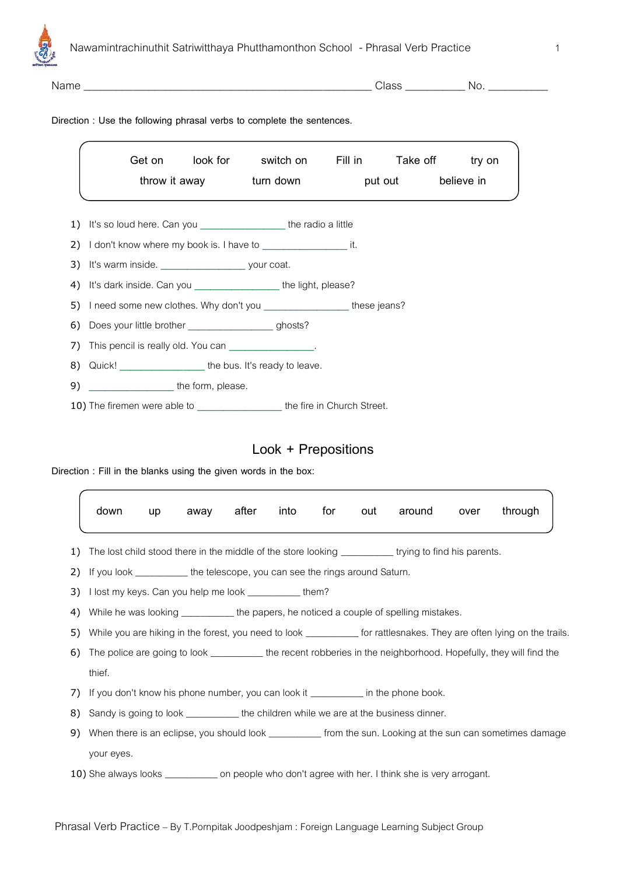

| ame |  |  |
|-----|--|--|

Name \_\_\_\_\_\_\_\_\_\_\_\_\_\_\_\_\_\_\_\_\_\_\_\_\_\_\_\_\_\_\_\_\_\_\_\_\_\_\_\_\_\_\_\_\_\_\_\_\_\_\_\_\_ Class \_\_\_\_\_\_\_\_\_\_\_ No. \_\_\_\_\_\_\_\_\_\_\_

## **Direction : Use the following phrasal verbs to complete the sentences.**

|    |                                                                             |  | Get on look for switch on Fill in Take off try on |  |  |                    |  |
|----|-----------------------------------------------------------------------------|--|---------------------------------------------------|--|--|--------------------|--|
|    | throw it away turn down                                                     |  |                                                   |  |  | put out believe in |  |
|    |                                                                             |  |                                                   |  |  |                    |  |
|    | 1) It's so loud here. Can you ______________________ the radio a little     |  |                                                   |  |  |                    |  |
|    | 2) I don't know where my book is. I have to _______________________ it.     |  |                                                   |  |  |                    |  |
|    | 3) It's warm inside. vour coat.                                             |  |                                                   |  |  |                    |  |
|    | 4) It's dark inside. Can you ___________________the light, please?          |  |                                                   |  |  |                    |  |
|    | 5) I need some new clothes. Why don't you _____________________these jeans? |  |                                                   |  |  |                    |  |
|    | 6) Does your little brother _________________________ghosts?                |  |                                                   |  |  |                    |  |
|    | 7) This pencil is really old. You can                                       |  |                                                   |  |  |                    |  |
|    | 8) Quick! the bus. It's ready to leave.                                     |  |                                                   |  |  |                    |  |
| 9) | the form, please.                                                           |  |                                                   |  |  |                    |  |

10) The firemen were able to **\_\_\_\_\_\_\_\_\_\_\_\_\_\_\_\_** the fire in Church Street.

# **Look + Prepositions**

**Direction : Fill in the blanks using the given words in the box:**

|    | down                                                                                                                     | up | away after |  | into | for | out | around                                                                                                 | over | through |
|----|--------------------------------------------------------------------------------------------------------------------------|----|------------|--|------|-----|-----|--------------------------------------------------------------------------------------------------------|------|---------|
| 1) |                                                                                                                          |    |            |  |      |     |     | The lost child stood there in the middle of the store looking ____________ trying to find his parents. |      |         |
| 2) | If you look ____________ the telescope, you can see the rings around Saturn.                                             |    |            |  |      |     |     |                                                                                                        |      |         |
| 3) | l lost my keys. Can you help me look ___________them?                                                                    |    |            |  |      |     |     |                                                                                                        |      |         |
| 4) | While he was looking ____________ the papers, he noticed a couple of spelling mistakes.                                  |    |            |  |      |     |     |                                                                                                        |      |         |
| 5) | While you are hiking in the forest, you need to look _____________ for rattlesnakes. They are often lying on the trails. |    |            |  |      |     |     |                                                                                                        |      |         |
| 6) | The police are going to look ______________ the recent robberies in the neighborhood. Hopefully, they will find the      |    |            |  |      |     |     |                                                                                                        |      |         |
|    | thief.                                                                                                                   |    |            |  |      |     |     |                                                                                                        |      |         |
| 7) |                                                                                                                          |    |            |  |      |     |     | If you don't know his phone number, you can look it ____________ in the phone book.                    |      |         |
| 8) | Sandy is going to look _____________ the children while we are at the business dinner.                                   |    |            |  |      |     |     |                                                                                                        |      |         |
| 9) | When there is an eclipse, you should look _____________ from the sun. Looking at the sun can sometimes damage            |    |            |  |      |     |     |                                                                                                        |      |         |
|    | your eyes.                                                                                                               |    |            |  |      |     |     |                                                                                                        |      |         |
|    |                                                                                                                          |    |            |  |      |     |     | 10) She always looks _______________ on people who don't agree with her. I think she is very arrogant. |      |         |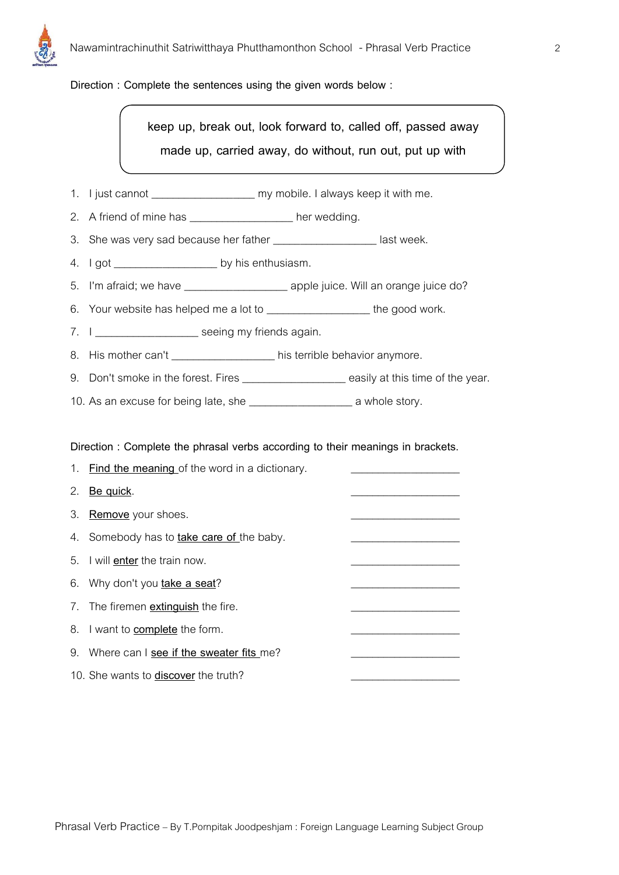

#### **Direction : Complete the sentences using the given words below :**

**keep up, break out, look forward to, called off, passed away made up, carried away, do without, run out, put up with**

- 1. I just cannot \_\_\_\_\_\_\_\_\_\_\_\_\_\_\_\_\_\_\_\_\_\_\_\_\_ my mobile. I always keep it with me.
- 2. A friend of mine has \_\_\_\_\_\_\_\_\_\_\_\_\_\_\_\_\_\_\_\_ her wedding.
- 3. She was very sad because her father \_\_\_\_\_\_\_\_\_\_\_\_\_\_\_\_\_\_\_\_ last week.
- 4. I got \_\_\_\_\_\_\_\_\_\_\_\_\_\_\_\_\_\_\_\_\_\_ by his enthusiasm.
- 5. I'm afraid; we have \_\_\_\_\_\_\_\_\_\_\_\_\_\_\_\_\_\_\_\_\_\_\_\_\_\_ apple juice. Will an orange juice do?
- 6. Your website has helped me a lot to \_\_\_\_\_\_\_\_\_\_\_\_\_\_\_\_\_\_\_\_the good work.
- 7. I \_\_\_\_\_\_\_\_\_\_\_\_\_\_\_\_\_\_\_\_\_ seeing my friends again.
- 8. His mother can't \_\_\_\_\_\_\_\_\_\_\_\_\_\_\_\_\_\_\_\_\_\_ his terrible behavior anymore.
- 9. Don't smoke in the forest. Fires **we are assised as a controlled to the sear**.
- 10. As an excuse for being late, she \_\_\_\_\_\_\_\_\_\_\_\_\_\_\_\_\_\_\_ a whole story.

**Direction : Complete the phrasal verbs according to their meanings in brackets.**

|    | 1. Find the meaning of the word in a dictionary. |  |
|----|--------------------------------------------------|--|
|    | 2. Be quick.                                     |  |
| 3. | Remove your shoes.                               |  |
|    | 4. Somebody has to <b>take care of</b> the baby. |  |
|    | 5. I will enter the train now.                   |  |
|    | 6. Why don't you take a seat?                    |  |
|    | 7. The firemen <b>extinguish</b> the fire.       |  |
|    | 8. I want to <b>complete</b> the form.           |  |
| 9. | Where can I see if the sweater fits me?          |  |
|    | 10. She wants to <b>discover</b> the truth?      |  |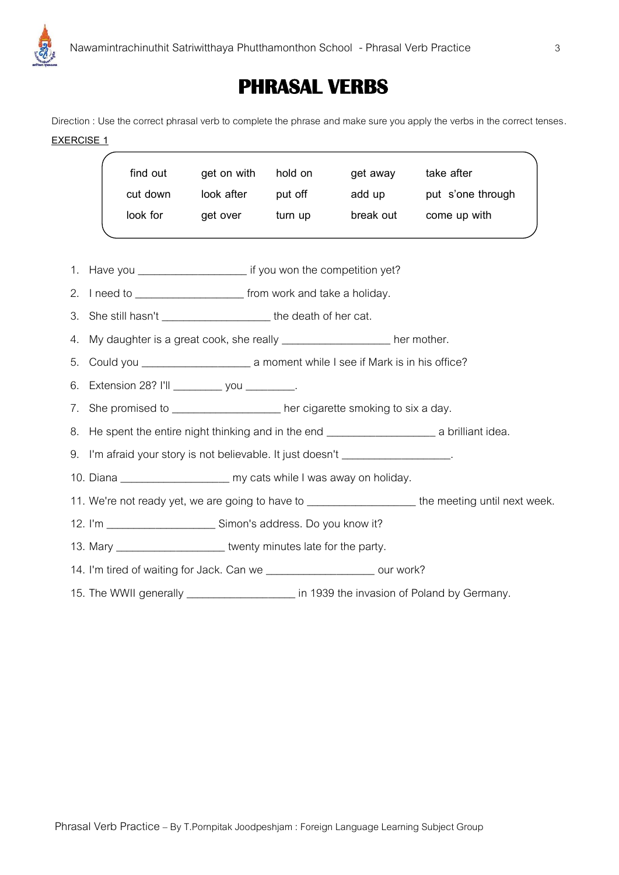

# **PHRASAL VERBS**

Direction : Use the correct phrasal verb to complete the phrase and make sure you apply the verbs in the correct tenses. **EXERCISE 1**

|    | find out                                                                                                           | get on with        | hold on | get away | take after                                                                                           |  |  |  |
|----|--------------------------------------------------------------------------------------------------------------------|--------------------|---------|----------|------------------------------------------------------------------------------------------------------|--|--|--|
|    | cut down                                                                                                           | look after put off |         |          | add up put s'one through                                                                             |  |  |  |
|    | look for                                                                                                           | get over           | turn up |          | break out come up with                                                                               |  |  |  |
|    |                                                                                                                    |                    |         |          |                                                                                                      |  |  |  |
|    | 1. Have you _________________________ if you won the competition yet?                                              |                    |         |          |                                                                                                      |  |  |  |
|    | 2. I need to ________________________ from work and take a holiday.                                                |                    |         |          |                                                                                                      |  |  |  |
|    |                                                                                                                    |                    |         |          |                                                                                                      |  |  |  |
|    | 3. She still hasn't _______________________ the death of her cat.                                                  |                    |         |          |                                                                                                      |  |  |  |
| 4. | My daughter is a great cook, she really _____________________ her mother.                                          |                    |         |          |                                                                                                      |  |  |  |
| 5. |                                                                                                                    |                    |         |          |                                                                                                      |  |  |  |
|    | 6. Extension 28? I'll ____________ you _________.                                                                  |                    |         |          |                                                                                                      |  |  |  |
|    | 7. She promised to ______________________her cigarette smoking to six a day.                                       |                    |         |          |                                                                                                      |  |  |  |
|    | 8. He spent the entire night thinking and in the end <b>contain the senarch and in the spent</b> a brilliant idea. |                    |         |          |                                                                                                      |  |  |  |
|    | 9. I'm afraid your story is not believable. It just doesn't __________________.                                    |                    |         |          |                                                                                                      |  |  |  |
|    | 10. Diana ________________________ my cats while I was away on holiday.                                            |                    |         |          |                                                                                                      |  |  |  |
|    |                                                                                                                    |                    |         |          | 11. We're not ready yet, we are going to have to ______________________ the meeting until next week. |  |  |  |
|    |                                                                                                                    |                    |         |          |                                                                                                      |  |  |  |
|    | 13. Mary _______________________ twenty minutes late for the party.                                                |                    |         |          |                                                                                                      |  |  |  |
|    | 14. I'm tired of waiting for Jack. Can we ______________________ our work?                                         |                    |         |          |                                                                                                      |  |  |  |
|    | 15. The WWII generally ____________________ in 1939 the invasion of Poland by Germany.                             |                    |         |          |                                                                                                      |  |  |  |
|    |                                                                                                                    |                    |         |          |                                                                                                      |  |  |  |